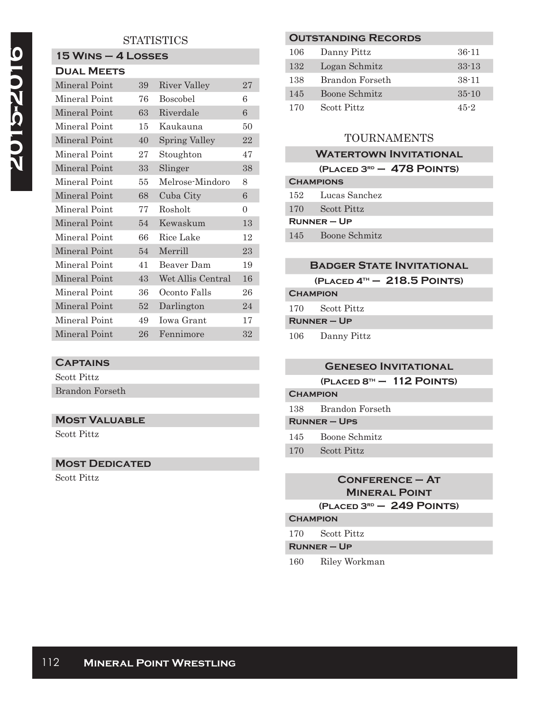# **STATISTICS**

# **15 Wins – 4 Losses**

| <b>DUAL MEETS</b> |    |                      |          |
|-------------------|----|----------------------|----------|
| Mineral Point     | 39 | River Valley         | 27       |
| Mineral Point     | 76 | <b>Boscobel</b>      | 6        |
| Mineral Point     | 63 | Riverdale            | 6        |
| Mineral Point     | 15 | Kaukauna             | 50       |
| Mineral Point     | 40 | <b>Spring Valley</b> | 22       |
| Mineral Point     | 27 | Stoughton            | 47       |
| Mineral Point     | 33 | Slinger              | 38       |
| Mineral Point     | 55 | Melrose-Mindoro      | 8        |
| Mineral Point     | 68 | Cuba City            | 6        |
| Mineral Point     | 77 | Rosholt              | $\theta$ |
| Mineral Point     | 54 | Kewaskum             | 13       |
| Mineral Point     | 66 | Rice Lake            | 12       |
| Mineral Point     | 54 | Merrill              | 23       |
| Mineral Point     | 41 | Beaver Dam           | 19       |
| Mineral Point     | 43 | Wet Allis Central    | 16       |
| Mineral Point     | 36 | Oconto Falls         | 26       |
| Mineral Point     | 52 | Darlington           | 24       |
| Mineral Point     | 49 | Iowa Grant           | 17       |
| Mineral Point     | 26 | Fennimore            | $32\,$   |

#### **Captains**

Scott Pittz Brandon Forseth

## **Most Valuable**

Scott Pittz

#### **MOST DEDICATED**

Scott Pittz

# **Outstanding Records**

| 106 | Danny Pittz     | 36-11     |
|-----|-----------------|-----------|
| 132 | Logan Schmitz   | $33 - 13$ |
| 138 | Brandon Forseth | $38 - 11$ |
| 145 | Boone Schmitz   | $35 - 10$ |
| 170 | Scott Pittz     | $45 - 2$  |

## TOURNAMENTS

|                  | <b>WATERTOWN INVITATIONAL</b> |
|------------------|-------------------------------|
|                  | $(PLACED 3RD - 478 POINTS)$   |
| <b>CHAMPIONS</b> |                               |
|                  | 152 Lucas Sanchez             |
| 170              | <b>Scott Pittz</b>            |
| $RUNNER - UP$    |                               |
| 145              | Boone Schmitz                 |

#### **Badger State Invitational**

**(Placed 4th – 218.5 Points)**

# **Champion**

170 Scott Pittz

**Runner – Up**

106 Danny Pittz

# **Geneseo Invitational**

**(Placed 8th – 112 Points)**

### **Champion**

138 Brandon Forseth

## **Runner – Ups**

- 145 Boone Schmitz
- 170 Scott Pittz

# **Conference – At Mineral Point (Placed 3rd – 249 Points)**

#### **Champion**

170 Scott Pittz

#### **Runner – Up**

160 Riley Workman